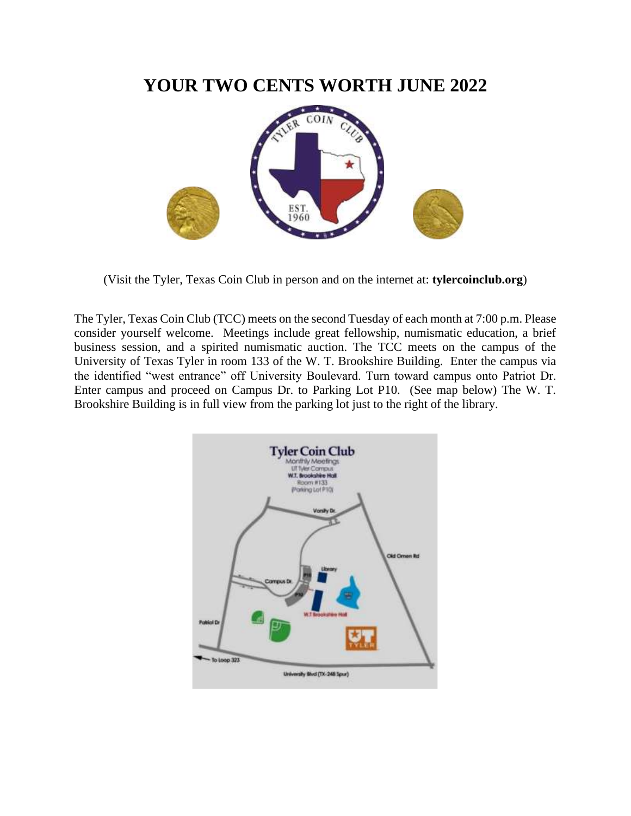### **YOUR TWO CENTS WORTH JUNE 2022**



(Visit the Tyler, Texas Coin Club in person and on the internet at: **tylercoinclub.org**)

The Tyler, Texas Coin Club (TCC) meets on the second Tuesday of each month at 7:00 p.m. Please consider yourself welcome. Meetings include great fellowship, numismatic education, a brief business session, and a spirited numismatic auction. The TCC meets on the campus of the University of Texas Tyler in room 133 of the W. T. Brookshire Building. Enter the campus via the identified "west entrance" off University Boulevard. Turn toward campus onto Patriot Dr. Enter campus and proceed on Campus Dr. to Parking Lot P10. (See map below) The W. T. Brookshire Building is in full view from the parking lot just to the right of the library.

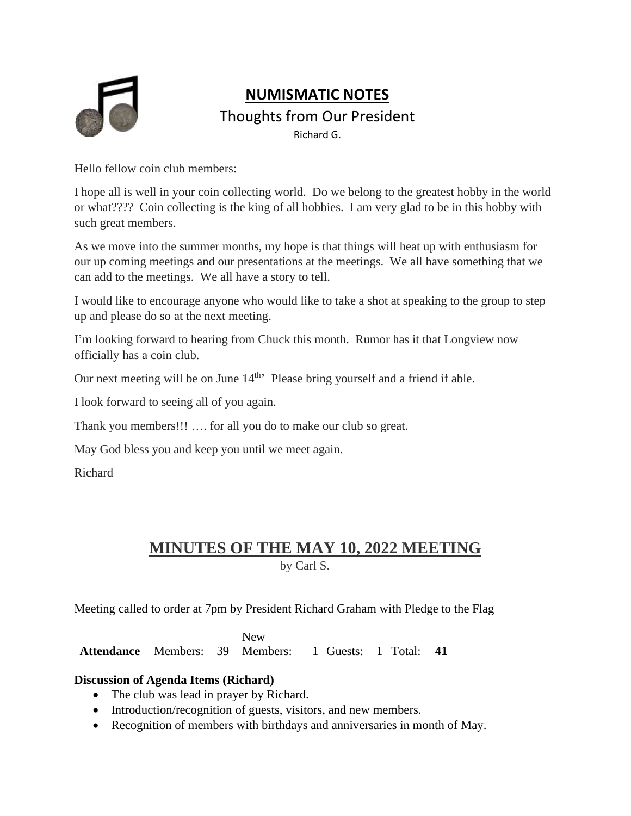

### **NUMISMATIC NOTES**

Thoughts from Our President

Richard G.

Hello fellow coin club members:

I hope all is well in your coin collecting world. Do we belong to the greatest hobby in the world or what???? Coin collecting is the king of all hobbies. I am very glad to be in this hobby with such great members.

As we move into the summer months, my hope is that things will heat up with enthusiasm for our up coming meetings and our presentations at the meetings. We all have something that we can add to the meetings. We all have a story to tell.

I would like to encourage anyone who would like to take a shot at speaking to the group to step up and please do so at the next meeting.

I'm looking forward to hearing from Chuck this month. Rumor has it that Longview now officially has a coin club.

Our next meeting will be on June 14<sup>th</sup>' Please bring yourself and a friend if able.

I look forward to seeing all of you again.

Thank you members!!! …. for all you do to make our club so great.

May God bless you and keep you until we meet again.

Richard

# **MINUTES OF THE MAY 10, 2022 MEETING**

by Carl S.

Meeting called to order at 7pm by President Richard Graham with Pledge to the Flag

Attendance Members: 39 Members: 1 Guests: 1 Total: 41 New

### **Discussion of Agenda Items (Richard)**

- The club was lead in prayer by Richard.
- Introduction/recognition of guests, visitors, and new members.
- Recognition of members with birthdays and anniversaries in month of May.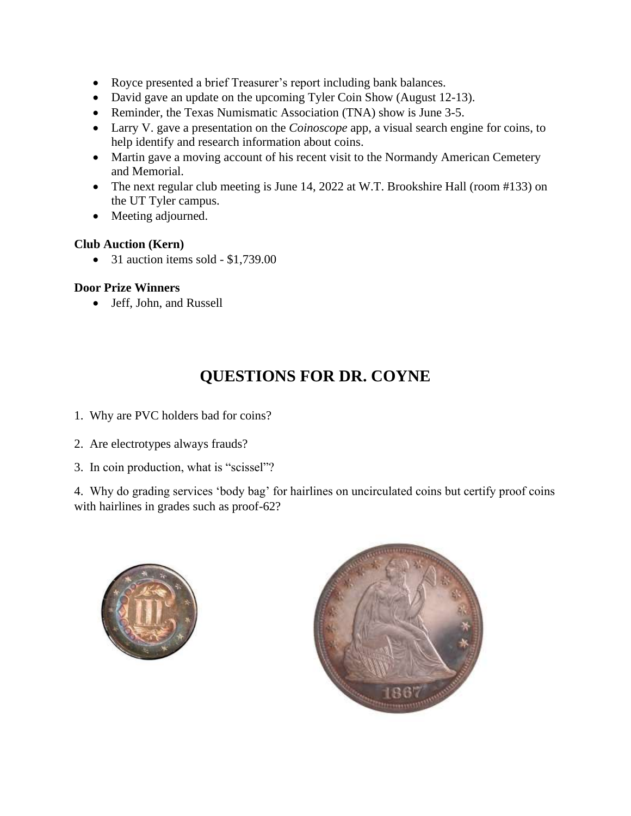- Royce presented a brief Treasurer's report including bank balances.
- David gave an update on the upcoming Tyler Coin Show (August 12-13).
- Reminder, the Texas Numismatic Association (TNA) show is June 3-5.
- Larry V. gave a presentation on the *Coinoscope* app, a visual search engine for coins, to help identify and research information about coins.
- Martin gave a moving account of his recent visit to the Normandy American Cemetery and Memorial.
- The next regular club meeting is June 14, 2022 at W.T. Brookshire Hall (room #133) on the UT Tyler campus.
- Meeting adjourned.

### **Club Auction (Kern)**

• 31 auction items sold - \$1,739.00

### **Door Prize Winners**

• Jeff, John, and Russell

## **QUESTIONS FOR DR. COYNE**

- 1. Why are PVC holders bad for coins?
- 2. Are electrotypes always frauds?
- 3. In coin production, what is "scissel"?

4. Why do grading services 'body bag' for hairlines on uncirculated coins but certify proof coins with hairlines in grades such as proof-62?



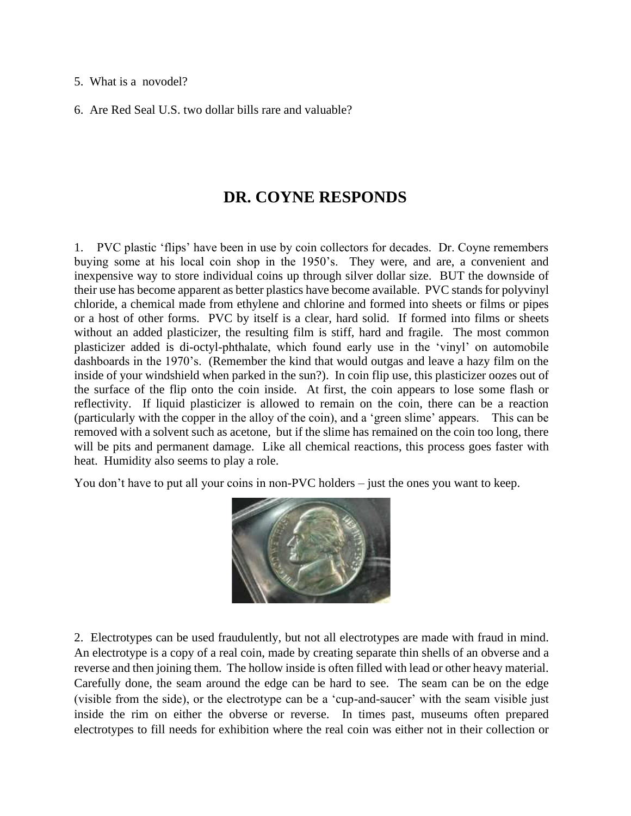#### 5. What is a novodel?

6. Are Red Seal U.S. two dollar bills rare and valuable?

### **DR. COYNE RESPONDS**

1.PVC plastic 'flips' have been in use by coin collectors for decades. Dr. Coyne remembers buying some at his local coin shop in the 1950's. They were, and are, a convenient and inexpensive way to store individual coins up through silver dollar size. BUT the downside of their use has become apparent as better plastics have become available. PVC stands for polyvinyl chloride, a chemical made from ethylene and chlorine and formed into sheets or films or pipes or a host of other forms. PVC by itself is a clear, hard solid. If formed into films or sheets without an added plasticizer, the resulting film is stiff, hard and fragile. The most common plasticizer added is di-octyl-phthalate, which found early use in the 'vinyl' on automobile dashboards in the 1970's. (Remember the kind that would outgas and leave a hazy film on the inside of your windshield when parked in the sun?). In coin flip use, this plasticizer oozes out of the surface of the flip onto the coin inside. At first, the coin appears to lose some flash or reflectivity. If liquid plasticizer is allowed to remain on the coin, there can be a reaction (particularly with the copper in the alloy of the coin), and a 'green slime' appears. This can be removed with a solvent such as acetone, but if the slime has remained on the coin too long, there will be pits and permanent damage. Like all chemical reactions, this process goes faster with heat. Humidity also seems to play a role.

You don't have to put all your coins in non-PVC holders – just the ones you want to keep.



2. Electrotypes can be used fraudulently, but not all electrotypes are made with fraud in mind. An electrotype is a copy of a real coin, made by creating separate thin shells of an obverse and a reverse and then joining them. The hollow inside is often filled with lead or other heavy material. Carefully done, the seam around the edge can be hard to see. The seam can be on the edge (visible from the side), or the electrotype can be a 'cup-and-saucer' with the seam visible just inside the rim on either the obverse or reverse. In times past, museums often prepared electrotypes to fill needs for exhibition where the real coin was either not in their collection or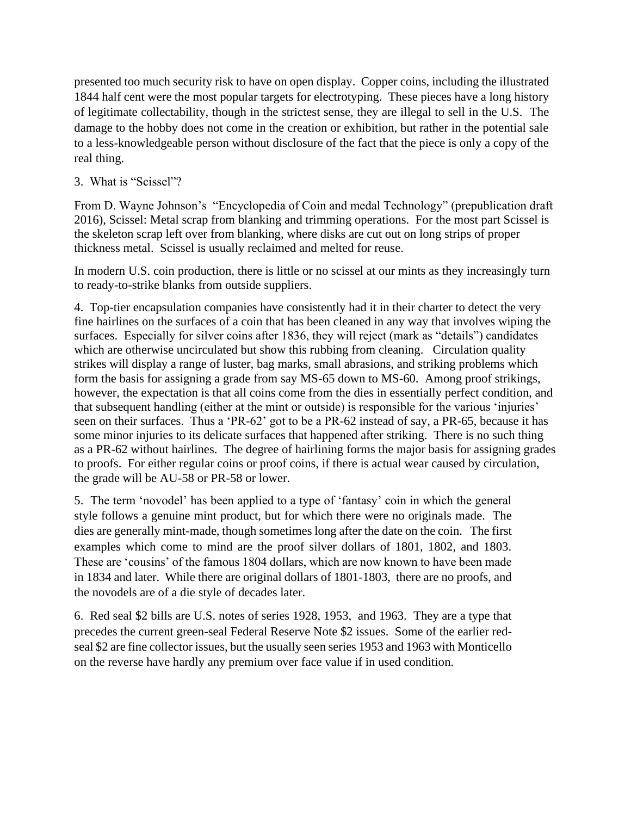presented too much security risk to have on open display. Copper coins, including the illustrated 1844 half cent were the most popular targets for electrotyping. These pieces have a long history of legitimate collectability, though in the strictest sense, they are illegal to sell in the U.S. The damage to the hobby does not come in the creation or exhibition, but rather in the potential sale to a less-knowledgeable person without disclosure of the fact that the piece is only a copy of the real thing.

3. What is "Scissel"?

From D. Wayne Johnson's "Encyclopedia of Coin and medal Technology" (prepublication draft 2016), Scissel: Metal scrap from blanking and trimming operations. For the most part Scissel is the skeleton scrap left over from blanking, where disks are cut out on long strips of proper thickness metal. Scissel is usually reclaimed and melted for reuse.

In modern U.S. coin production, there is little or no scissel at our mints as they increasingly turn to ready-to-strike blanks from outside suppliers.

4. Top-tier encapsulation companies have consistently had it in their charter to detect the very fine hairlines on the surfaces of a coin that has been cleaned in any way that involves wiping the surfaces. Especially for silver coins after 1836, they will reject (mark as "details") candidates which are otherwise uncirculated but show this rubbing from cleaning. Circulation quality strikes will display a range of luster, bag marks, small abrasions, and striking problems which form the basis for assigning a grade from say MS-65 down to MS-60. Among proof strikings, however, the expectation is that all coins come from the dies in essentially perfect condition, and that subsequent handling (either at the mint or outside) is responsible for the various 'injuries' seen on their surfaces. Thus a 'PR-62' got to be a PR-62 instead of say, a PR-65, because it has some minor injuries to its delicate surfaces that happened after striking. There is no such thing as a PR-62 without hairlines. The degree of hairlining forms the major basis for assigning grades to proofs. For either regular coins or proof coins, if there is actual wear caused by circulation, the grade will be AU-58 or PR-58 or lower.

5. The term 'novodel' has been applied to a type of 'fantasy' coin in which the general style follows a genuine mint product, but for which there were no originals made. The dies are generally mint-made, though sometimes long after the date on the coin. The first examples which come to mind are the proof silver dollars of 1801, 1802, and 1803. These are 'cousins' of the famous 1804 dollars, which are now known to have been made in 1834 and later. While there are original dollars of 1801-1803, there are no proofs, and the novodels are of a die style of decades later.

6. Red seal \$2 bills are U.S. notes of series 1928, 1953, and 1963. They are a type that precedes the current green-seal Federal Reserve Note \$2 issues. Some of the earlier redseal \$2 are fine collector issues, but the usually seen series 1953 and 1963 with Monticello on the reverse have hardly any premium over face value if in used condition.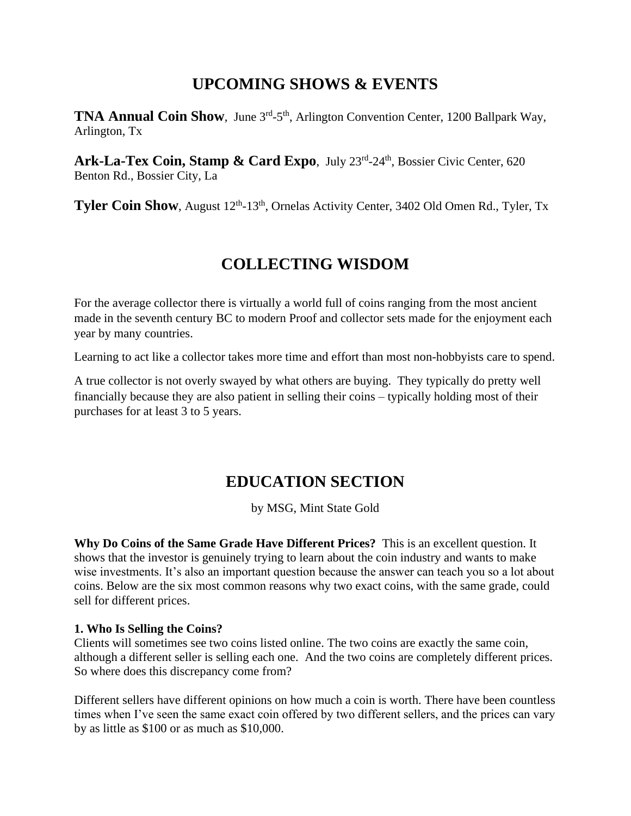### **UPCOMING SHOWS & EVENTS**

**TNA Annual Coin Show**, June 3<sup>rd</sup>-5<sup>th</sup>, Arlington Convention Center, 1200 Ballpark Way, Arlington, Tx

Ark-La-Tex Coin, Stamp & Card Expo, July 23<sup>rd</sup>-24<sup>th</sup>, Bossier Civic Center, 620 Benton Rd., Bossier City, La

**Tyler Coin Show**, August 12<sup>th</sup>-13<sup>th</sup>, Ornelas Activity Center, 3402 Old Omen Rd., Tyler, Tx

### **COLLECTING WISDOM**

For the average collector there is virtually a world full of coins ranging from the most ancient made in the seventh century BC to modern Proof and collector sets made for the enjoyment each year by many countries.

Learning to act like a collector takes more time and effort than most non-hobbyists care to spend.

A true collector is not overly swayed by what others are buying. They typically do pretty well financially because they are also patient in selling their coins – typically holding most of their purchases for at least 3 to 5 years.

## **EDUCATION SECTION**

by MSG, Mint State Gold

**Why Do Coins of the Same Grade Have Different Prices?** This is an excellent question. It shows that the investor is genuinely trying to learn about the coin industry and wants to make wise investments. It's also an important question because the answer can teach you so a lot about coins. Below are the six most common reasons why two exact coins, with the same grade, could sell for different prices.

### **1. Who Is Selling the Coins?**

Clients will sometimes see two coins listed online. The two coins are exactly the same coin, although a different seller is selling each one. And the two coins are completely different prices. So where does this discrepancy come from?

Different sellers have different opinions on how much a coin is worth. There have been countless times when I've seen the same exact coin offered by two different sellers, and the prices can vary by as little as \$100 or as much as \$10,000.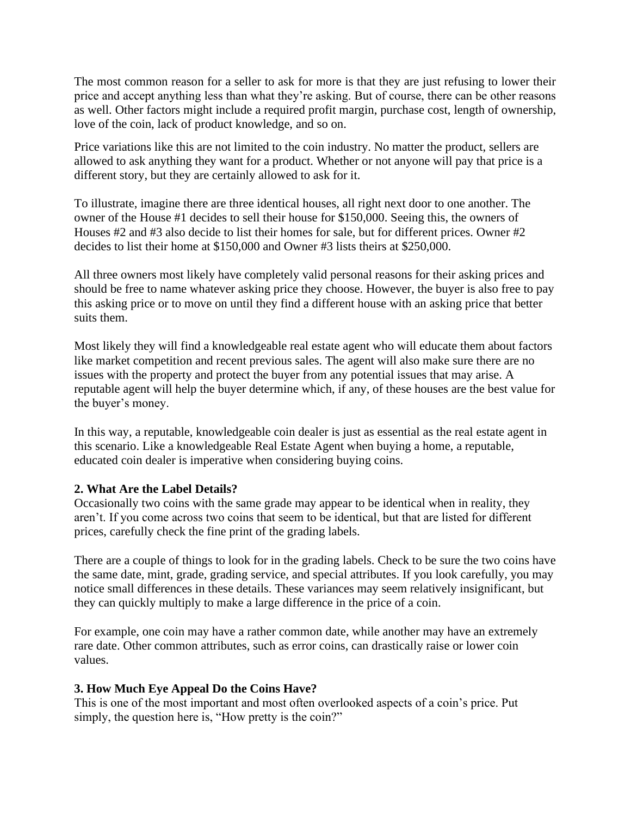The most common reason for a seller to ask for more is that they are just refusing to lower their price and accept anything less than what they're asking. But of course, there can be other reasons as well. Other factors might include a required profit margin, purchase cost, length of ownership, love of the coin, lack of product knowledge, and so on.

Price variations like this are not limited to the coin industry. No matter the product, sellers are allowed to ask anything they want for a product. Whether or not anyone will pay that price is a different story, but they are certainly allowed to ask for it.

To illustrate, imagine there are three identical houses, all right next door to one another. The owner of the House #1 decides to sell their house for \$150,000. Seeing this, the owners of Houses #2 and #3 also decide to list their homes for sale, but for different prices. Owner #2 decides to list their home at \$150,000 and Owner #3 lists theirs at \$250,000.

All three owners most likely have completely valid personal reasons for their asking prices and should be free to name whatever asking price they choose. However, the buyer is also free to pay this asking price or to move on until they find a different house with an asking price that better suits them.

Most likely they will find a knowledgeable real estate agent who will educate them about factors like market competition and recent previous sales. The agent will also make sure there are no issues with the property and protect the buyer from any potential issues that may arise. A reputable agent will help the buyer determine which, if any, of these houses are the best value for the buyer's money.

In this way, a reputable, knowledgeable coin dealer is just as essential as the real estate agent in this scenario. Like a knowledgeable Real Estate Agent when buying a home, a reputable, educated coin dealer is imperative when considering buying coins.

#### **2. What Are the Label Details?**

Occasionally two coins with the same grade may appear to be identical when in reality, they aren't. If you come across two coins that seem to be identical, but that are listed for different prices, carefully check the fine print of the grading labels.

There are a couple of things to look for in the grading labels. Check to be sure the two coins have the same date, mint, grade, grading service, and special attributes. If you look carefully, you may notice small differences in these details. These variances may seem relatively insignificant, but they can quickly multiply to make a large difference in the price of a coin.

For example, one coin may have a rather common date, while another may have an extremely rare date. Other common attributes, such as error coins, can drastically raise or lower coin values.

### **3. How Much Eye Appeal Do the Coins Have?**

This is one of the most important and most often overlooked aspects of a coin's price. Put simply, the question here is, "How pretty is the coin?"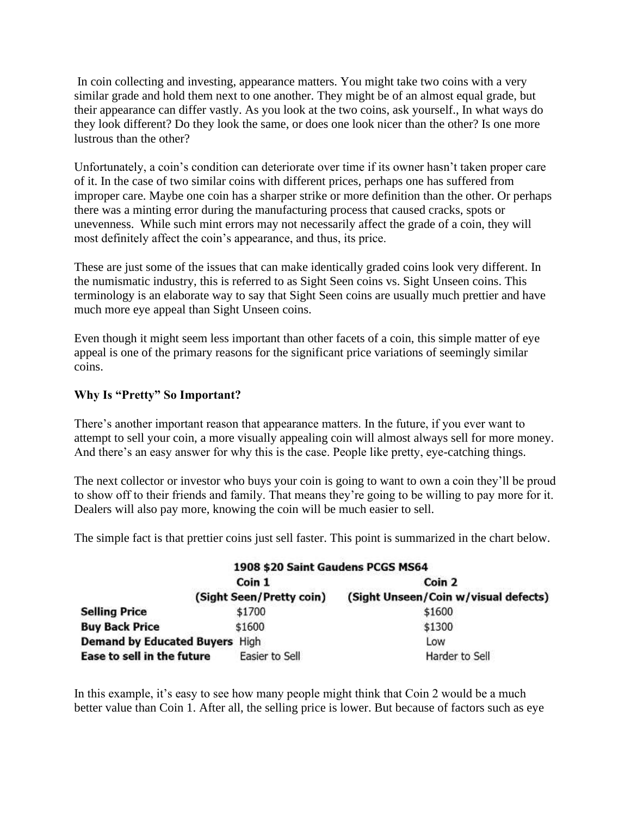In coin collecting and investing, appearance matters. You might take two coins with a very similar grade and hold them next to one another. They might be of an almost equal grade, but their appearance can differ vastly. As you look at the two coins, ask yourself., In what ways do they look different? Do they look the same, or does one look nicer than the other? Is one more lustrous than the other?

Unfortunately, a coin's condition can deteriorate over time if its owner hasn't taken proper care of it. In the case of two similar coins with different prices, perhaps one has suffered from improper care. Maybe one coin has a sharper strike or more definition than the other. Or perhaps there was a minting error during the manufacturing process that caused cracks, spots or unevenness. While such mint errors may not necessarily affect the grade of a coin, they will most definitely affect the coin's appearance, and thus, its price.

These are just some of the issues that can make identically graded coins look very different. In the numismatic industry, this is referred to as Sight Seen coins vs. Sight Unseen coins. This terminology is an elaborate way to say that Sight Seen coins are usually much prettier and have much more eye appeal than Sight Unseen coins.

Even though it might seem less important than other facets of a coin, this simple matter of eye appeal is one of the primary reasons for the significant price variations of seemingly similar coins.

### **Why Is "Pretty" So Important?**

There's another important reason that appearance matters. In the future, if you ever want to attempt to sell your coin, a more visually appealing coin will almost always sell for more money. And there's an easy answer for why this is the case. People like pretty, eye-catching things.

The next collector or investor who buys your coin is going to want to own a coin they'll be proud to show off to their friends and family. That means they're going to be willing to pay more for it. Dealers will also pay more, knowing the coin will be much easier to sell.

The simple fact is that prettier coins just sell faster. This point is summarized in the chart below.

|                                | 1908 \$20 Saint Gaudens PCGS MS64 |                                      |
|--------------------------------|-----------------------------------|--------------------------------------|
|                                | Coin 1                            | Coin 2                               |
|                                | (Sight Seen/Pretty coin)          | (Sight Unseen/Coin w/visual defects) |
| <b>Selling Price</b>           | \$1700                            | \$1600                               |
| <b>Buy Back Price</b>          | \$1600                            | \$1300                               |
| Demand by Educated Buyers High |                                   | Low                                  |
| Ease to sell in the future     | Easier to Sell                    | Harder to Sell                       |

In this example, it's easy to see how many people might think that Coin 2 would be a much better value than Coin 1. After all, the selling price is lower. But because of factors such as eye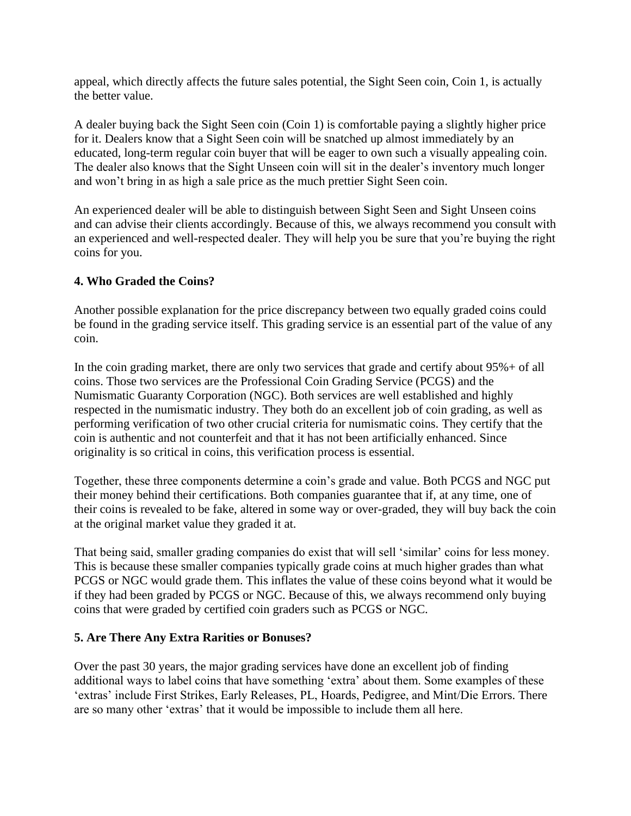appeal, which directly affects the future sales potential, the Sight Seen coin, Coin 1, is actually the better value.

A dealer buying back the Sight Seen coin (Coin 1) is comfortable paying a slightly higher price for it. Dealers know that a Sight Seen coin will be snatched up almost immediately by an educated, long-term regular coin buyer that will be eager to own such a visually appealing coin. The dealer also knows that the Sight Unseen coin will sit in the dealer's inventory much longer and won't bring in as high a sale price as the much prettier Sight Seen coin.

An experienced dealer will be able to distinguish between Sight Seen and Sight Unseen coins and can advise their clients accordingly. Because of this, we always recommend you consult with an experienced and well-respected dealer. They will help you be sure that you're buying the right coins for you.

### **4. Who Graded the Coins?**

Another possible explanation for the price discrepancy between two equally graded coins could be found in the grading service itself. This grading service is an essential part of the value of any coin.

In the coin grading market, there are only two services that grade and certify about 95%+ of all coins. Those two services are the Professional Coin Grading Service (PCGS) and the Numismatic Guaranty Corporation (NGC). Both services are well established and highly respected in the numismatic industry. They both do an excellent job of coin grading, as well as performing verification of two other crucial criteria for numismatic coins. They certify that the coin is authentic and not counterfeit and that it has not been artificially enhanced. Since originality is so critical in coins, this verification process is essential.

Together, these three components determine a coin's grade and value. Both PCGS and NGC put their money behind their certifications. Both companies guarantee that if, at any time, one of their coins is revealed to be fake, altered in some way or over-graded, they will buy back the coin at the original market value they graded it at.

That being said, smaller grading companies do exist that will sell 'similar' coins for less money. This is because these smaller companies typically grade coins at much higher grades than what PCGS or NGC would grade them. This inflates the value of these coins beyond what it would be if they had been graded by PCGS or NGC. Because of this, we always recommend only buying coins that were graded by certified coin graders such as PCGS or NGC.

### **5. Are There Any Extra Rarities or Bonuses?**

Over the past 30 years, the major grading services have done an excellent job of finding additional ways to label coins that have something 'extra' about them. Some examples of these 'extras' include First Strikes, Early Releases, PL, Hoards, Pedigree, and Mint/Die Errors. There are so many other 'extras' that it would be impossible to include them all here.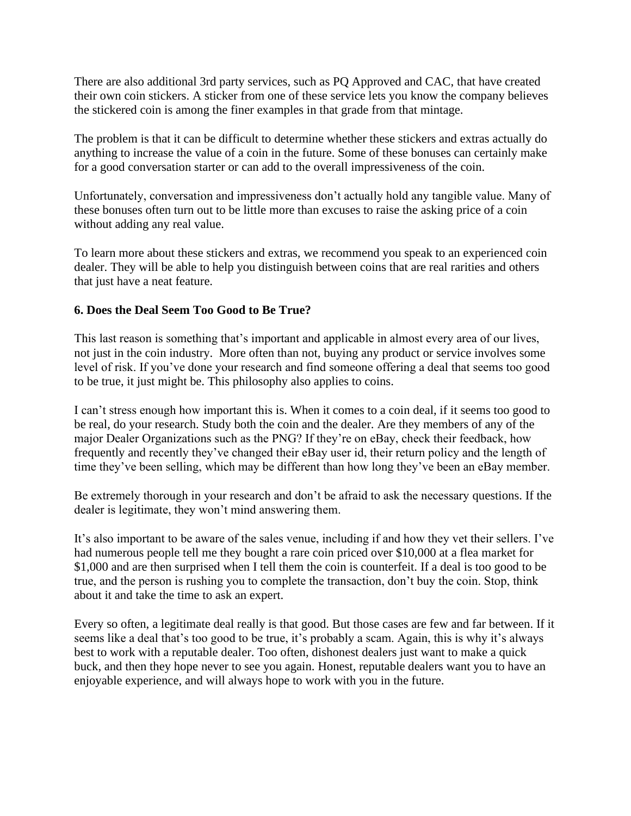There are also additional 3rd party services, such as PQ Approved and CAC, that have created their own coin stickers. A sticker from one of these service lets you know the company believes the stickered coin is among the finer examples in that grade from that mintage.

The problem is that it can be difficult to determine whether these stickers and extras actually do anything to increase the value of a coin in the future. Some of these bonuses can certainly make for a good conversation starter or can add to the overall impressiveness of the coin.

Unfortunately, conversation and impressiveness don't actually hold any tangible value. Many of these bonuses often turn out to be little more than excuses to raise the asking price of a coin without adding any real value.

To learn more about these stickers and extras, we recommend you speak to an experienced coin dealer. They will be able to help you distinguish between coins that are real rarities and others that just have a neat feature.

#### **6. Does the Deal Seem Too Good to Be True?**

This last reason is something that's important and applicable in almost every area of our lives, not just in the coin industry. More often than not, buying any product or service involves some level of risk. If you've done your research and find someone offering a deal that seems too good to be true, it just might be. This philosophy also applies to coins.

I can't stress enough how important this is. When it comes to a coin deal, if it seems too good to be real, do your research. Study both the coin and the dealer. Are they members of any of the major Dealer Organizations such as the PNG? If they're on eBay, check their feedback, how frequently and recently they've changed their eBay user id, their return policy and the length of time they've been selling, which may be different than how long they've been an eBay member.

Be extremely thorough in your research and don't be afraid to ask the necessary questions. If the dealer is legitimate, they won't mind answering them.

It's also important to be aware of the sales venue, including if and how they vet their sellers. I've had numerous people tell me they bought a rare coin priced over \$10,000 at a flea market for \$1,000 and are then surprised when I tell them the coin is counterfeit. If a deal is too good to be true, and the person is rushing you to complete the transaction, don't buy the coin. Stop, think about it and take the time to ask an expert.

Every so often, a legitimate deal really is that good. But those cases are few and far between. If it seems like a deal that's too good to be true, it's probably a scam. Again, this is why it's always best to work with a reputable dealer. Too often, dishonest dealers just want to make a quick buck, and then they hope never to see you again. Honest, reputable dealers want you to have an enjoyable experience, and will always hope to work with you in the future.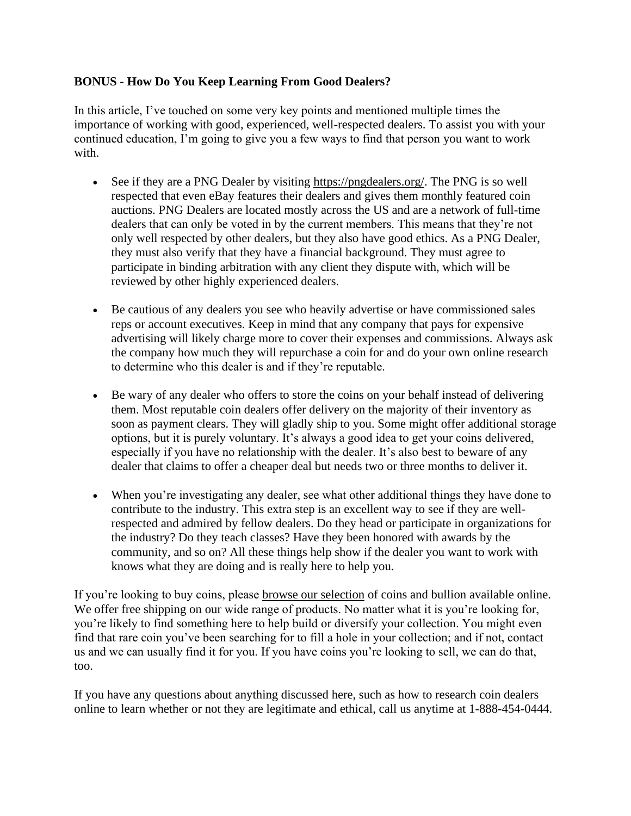### **BONUS - How Do You Keep Learning From Good Dealers?**

In this article, I've touched on some very key points and mentioned multiple times the importance of working with good, experienced, well-respected dealers. To assist you with your continued education, I'm going to give you a few ways to find that person you want to work with.

- See if they are a PNG Dealer by visiting [https://pngdealers.org/.](https://pngdealers.org/) The PNG is so well respected that even eBay features their dealers and gives them monthly featured coin auctions. PNG Dealers are located mostly across the US and are a network of full-time dealers that can only be voted in by the current members. This means that they're not only well respected by other dealers, but they also have good ethics. As a PNG Dealer, they must also verify that they have a financial background. They must agree to participate in binding arbitration with any client they dispute with, which will be reviewed by other highly experienced dealers.
- Be cautious of any dealers you see who heavily advertise or have commissioned sales reps or account executives. Keep in mind that any company that pays for expensive advertising will likely charge more to cover their expenses and commissions. Always ask the company how much they will repurchase a coin for and do your own online research to determine who this dealer is and if they're reputable.
- Be wary of any dealer who offers to store the coins on your behalf instead of delivering them. Most reputable coin dealers offer delivery on the majority of their inventory as soon as payment clears. They will gladly ship to you. Some might offer additional storage options, but it is purely voluntary. It's always a good idea to get your coins delivered, especially if you have no relationship with the dealer. It's also best to beware of any dealer that claims to offer a cheaper deal but needs two or three months to deliver it.
- When you're investigating any dealer, see what other additional things they have done to contribute to the industry. This extra step is an excellent way to see if they are wellrespected and admired by fellow dealers. Do they head or participate in organizations for the industry? Do they teach classes? Have they been honored with awards by the community, and so on? All these things help show if the dealer you want to work with knows what they are doing and is really here to help you.

If you're looking to buy coins, please **[browse our selection](https://www.mintstategold.com/)** of coins and bullion available online. We offer free shipping on our wide range of products. No matter what it is you're looking for, you're likely to find something here to help build or diversify your collection. You might even find that rare coin you've been searching for to fill a hole in your collection; and if not, contact us and we can usually find it for you. If you have coins you're looking to sell, we can do that, too.

If you have any questions about anything discussed here, such as how to research coin dealers online to learn whether or not they are legitimate and ethical, call us anytime at 1-888-454-0444.